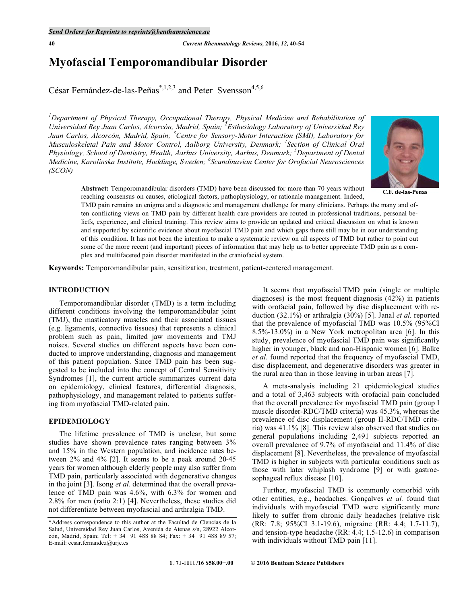# **Myofascial Temporomandibular Disorder**

César Fernández-de-las-Peñas<sup> $\hat{i}$ , 1,2,3</sup> and Peter Svensson<sup>4,5,6</sup>

<sup>1</sup>Department of Physical Therapy, Occupational Therapy, Physical Medicine and Rehabilitation of *Universidad Rey Juan Carlos, Alcorcón, Madrid, Spain; <sup>2</sup> Esthesiology Laboratory of Universidad Rey Juan Carlos, Alcorcón, Madrid, Spain; <sup>3</sup> Centre for Sensory-Motor Interaction (SMI), Laboratory for Musculoskeletal Pain and Motor Control, Aalborg University, Denmark; <sup>4</sup> Section of Clinical Oral Physiology, School of Dentistry, Health, Aarhus University, Aarhus, Denmark; <sup>5</sup> Department of Dental Medicine, Karolinska Institute, Huddinge, Sweden; <sup>6</sup> Scandinavian Center for Orofacial Neurosciences (SCON)*



C.F. de-las-Penas

**Abstract:** Temporomandibular disorders (TMD) have been discussed for more than 70 years without reaching consensus on causes, etiological factors, pathophysiology, or rationale management. Indeed,

TMD pain remains an enigma and a diagnostic and management challenge for many clinicians. Perhaps the many and often conflicting views on TMD pain by different health care providers are routed in professional traditions, personal beliefs, experience, and clinical training. This review aims to provide an updated and critical discussion on what is known and supported by scientific evidence about myofascial TMD pain and which gaps there still may be in our understanding of this condition. It has not been the intention to make a systematic review on all aspects of TMD but rather to point out some of the more recent (and important) pieces of information that may help us to better appreciate TMD pain as a complex and multifaceted pain disorder manifested in the craniofacial system.

**Keywords:** Temporomandibular pain, sensitization, treatment, patient-centered management.

# **INTRODUCTION**

 Temporomandibular disorder (TMD) is a term including different conditions involving the temporomandibular joint (TMJ), the masticatory muscles and their associated tissues (e.g. ligaments, connective tissues) that represents a clinical problem such as pain, limited jaw movements and TMJ noises. Several studies on different aspects have been conducted to improve understanding, diagnosis and management of this patient population. Since TMD pain has been suggested to be included into the concept of Central Sensitivity Syndromes [1], the current article summarizes current data on epidemiology, clinical features, differential diagnosis, pathophysiology, and management related to patients suffering from myofascial TMD-related pain.

# **EPIDEMIOLOGY**

 The lifetime prevalence of TMD is unclear, but some studies have shown prevalence rates ranging between 3% and 15% in the Western population, and incidence rates between 2% and 4% [2]. It seems to be a peak around 20-45 years for women although elderly people may also suffer from TMD pain, particularly associated with degenerative changes in the joint [3]. Isong *et al.* determined that the overall prevalence of TMD pain was 4.6%, with 6.3% for women and 2.8% for men (ratio 2:1) [4]. Nevertheless, these studies did not differentiate between myofascial and arthralgia TMD.

 It seems that myofascial TMD pain (single or multiple diagnoses) is the most frequent diagnosis (42%) in patients with orofacial pain, followed by disc displacement with reduction (32.1%) or arthralgia (30%) [5]. Janal *et al.* reported that the prevalence of myofascial TMD was 10.5% (95%CI 8.5%-13.0%) in a New York metropolitan area [6]. In this study, prevalence of myofascial TMD pain was significantly higher in younger, black and non-Hispanic women [6]. Balke *et al.* found reported that the frequency of myofascial TMD, disc displacement, and degenerative disorders was greater in the rural area than in those leaving in urban areas [7].

 A meta-analysis including 21 epidemiological studies and a total of 3,463 subjects with orofacial pain concluded that the overall prevalence for myofascial TMD pain (group I muscle disorder-RDC/TMD criteria) was 45.3%, whereas the prevalence of disc displacement (group II-RDC/TMD criteria) was 41.1% [8]. This review also observed that studies on general populations including 2,491 subjects reported an overall prevalence of 9.7% of myofascial and 11.4% of disc displacement [8]. Nevertheless, the prevalence of myofascial TMD is higher in subjects with particular conditions such as those with later whiplash syndrome [9] or with gastroesophageal reflux disease [10].

 Further, myofascial TMD is commonly comorbid with other entities, e.g., headaches. Gonçalves *et al.* found that individuals with myofascial TMD were significantly more likely to suffer from chronic daily headaches (relative risk (RR: 7.8; 95%CI 3.1-19.6), migraine (RR: 4.4; 1.7-11.7), and tension-type headache (RR: 4.4; 1.5-12.6) in comparison with individuals without TMD pain [11].

<sup>\*</sup>Address correspondence to this author at the Facultad de Ciencias de la Salud, Universidad Rey Juan Carlos, Avenida de Atenas s/n, 28922 Alcorcón, Madrid, Spain; Tel: + 34 91 488 88 84; Fax: + 34 91 488 89 57; E-mail: cesar.fernandez@urjc.es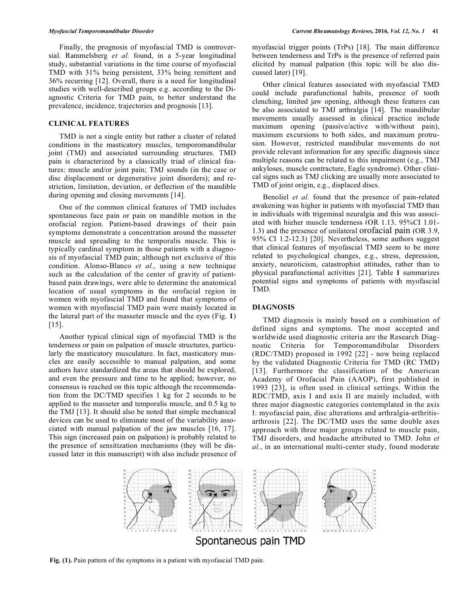Finally, the prognosis of myofascial TMD is controversial. Rammelsberg *et al.* found, in a 5-year longitudinal study, substantial variations in the time course of myofascial TMD with 31% being persistent, 33% being remittent and 36% recurring [12]. Overall, there is a need for longitudinal studies with well-described groups e.g. according to the Diagnostic Criteria for TMD pain, to better understand the prevalence, incidence, trajectories and prognosis [13].

# **CLINICAL FEATURES**

 TMD is not a single entity but rather a cluster of related conditions in the masticatory muscles, temporomandibular joint (TMJ) and associated surrounding structures. TMD pain is characterized by a classically triad of clinical features: muscle and/or joint pain; TMJ sounds (in the case or disc displacement or degenerative joint disorders); and restriction, limitation, deviation, or deflection of the mandible during opening and closing movements [14].

 One of the common clinical features of TMD includes spontaneous face pain or pain on mandible motion in the orofacial region. Patient-based drawings of their pain symptoms demonstrate a concentration around the masseter muscle and spreading to the temporalis muscle. This is typically cardinal symptom in those patients with a diagnosis of myofascial TMD pain; although not exclusive of this condition. Alonso-Blanco *et al.*, using a new technique such as the calculation of the center of gravity of patientbased pain drawings, were able to determine the anatomical location of usual symptoms in the orofacial region in women with myofascial TMD and found that symptoms of women with myofascial TMD pain were mainly located in the lateral part of the masseter muscle and the eyes (Fig. **1**) [15].

 Another typical clinical sign of myofascial TMD is the tenderness or pain on palpation of muscle structures, particularly the masticatory musculature. In fact, masticatory muscles are easily accessible to manual palpation, and some authors have standardized the areas that should be explored, and even the pressure and time to be applied; however, no consensus is reached on this topic although the recommendation from the DC/TMD specifies 1 kg for 2 seconds to be applied to the masseter and temporalis muscle, and 0.5 kg to the TMJ [13]. It should also be noted that simple mechanical devices can be used to eliminate most of the variability associated with manual palpation of the jaw muscles [16, 17]. This sign (increased pain on palpation) is probably related to the presence of sensitization mechanisms (they will be discussed later in this manuscript) with also include presence of myofascial trigger points (TrPs) [18]. The main difference between tenderness and TrPs is the presence of referred pain elicited by manual palpation (this topic will be also discussed later) [19].

 Other clinical features associated with myofascial TMD could include parafunctional habits, presence of tooth clenching, limited jaw opening, although these features can be also associated to TMJ arthralgia [14]. The mandibular movements usually assessed in clinical practice include maximum opening (passive/active with/without pain), maximum excursions to both sides, and maximum protrusion. However, restricted mandibular movements do not provide relevant information for any specific diagnosis since multiple reasons can be related to this impairment (e.g., TMJ ankyloses, muscle contracture, Eagle syndrome). Other clinical signs such as TMJ clicking are usually more associated to TMD of joint origin, e.g., displaced discs.

 Benoliel *et al.* found that the presence of pain-related awakening was higher in patients with myofascial TMD than in individuals with trigeminal neuralgia and this was associated with higher muscle tenderness (OR 1.13, 95%CI 1.01- 1.3) and the presence of unilateral orofacial pain (OR 3.9, 95% CI 1.2-12.3) [20]. Nevertheless, some authors suggest that clinical features of myofascial TMD seem to be more related to psychological changes, e.g., stress, depression, anxiety, neuroticism, catastrophist attitudes, rather than to physical parafunctional activities [21]. Table **1** summarizes potential signs and symptoms of patients with myofascial TMD.

#### **DIAGNOSIS**

 TMD diagnosis is mainly based on a combination of defined signs and symptoms. The most accepted and worldwide used diagnostic criteria are the Research Diagnostic Criteria for Temporomandibular Disorders (RDC/TMD) proposed in 1992 [22] - now being replaced by the validated Diagnostic Criteria for TMD (RC TMD) [13]. Furthermore the classification of the American Academy of Orofacial Pain (AAOP), first published in 1993 [23], is often used in clinical settings. Within the RDC/TMD, axis I and axis II are mainly included, with three major diagnostic categories contemplated in the axis I: myofascial pain, disc alterations and arthralgia-arthritisarthrosis [22]. The DC/TMD uses the same double axes approach with three major groups related to muscle pain, TMJ disorders, and headache attributed to TMD. John *et al.*, in an international multi-center study, found moderate



**Fig. (1).** Pain pattern of the symptoms in a patient with myofascial TMD pain.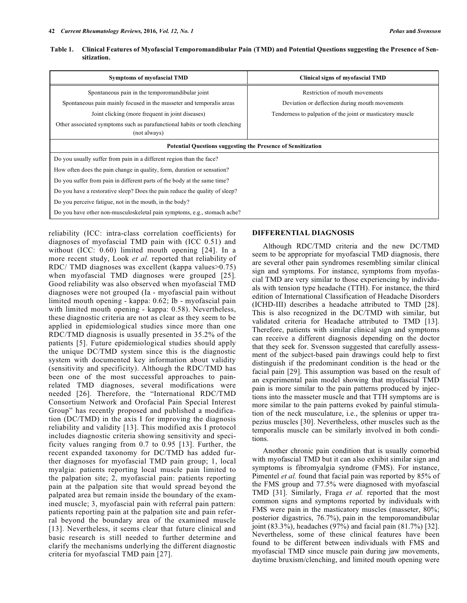| Table 1. | Clinical Features of Myofascial Temporomandibular Pain (TMD) and Potential Questions suggesting the Presence of Sen- |
|----------|----------------------------------------------------------------------------------------------------------------------|
|          | sitization.                                                                                                          |

| Symptoms of myofascial TMD                                                                 | Clinical signs of myofascial TMD                           |  |  |
|--------------------------------------------------------------------------------------------|------------------------------------------------------------|--|--|
| Spontaneous pain in the temporomandibular joint                                            | Restriction of mouth movements                             |  |  |
| Spontaneous pain mainly focused in the masseter and temporalis areas                       | Deviation or deflection during mouth movements             |  |  |
| Joint clicking (more frequent in joint diseases)                                           | Tenderness to palpation of the joint or masticatory muscle |  |  |
| Other associated symptoms such as parafunctional habits or tooth clenching<br>(not always) |                                                            |  |  |
| <b>Potential Questions suggesting the Presence of Sensitization</b>                        |                                                            |  |  |
| Do you usually suffer from pain in a different region than the face?                       |                                                            |  |  |
| How often does the pain change in quality, form, duration or sensation?                    |                                                            |  |  |
| Do you suffer from pain in different parts of the body at the same time?                   |                                                            |  |  |
| Do you have a restorative sleep? Does the pain reduce the quality of sleep?                |                                                            |  |  |
| Do you perceive fatigue, not in the mouth, in the body?                                    |                                                            |  |  |
| Do you have other non-musculoskeletal pain symptoms, e.g., stomach ache?                   |                                                            |  |  |

reliability (ICC: intra-class correlation coefficients) for diagnoses of myofascial TMD pain with (ICC 0.51) and without (ICC: 0.60) limited mouth opening [24]. In a more recent study, Look *et al.* reported that reliability of RDC/ TMD diagnoses was excellent (kappa values>0.75) when myofascial TMD diagnoses were grouped [25]. Good reliability was also observed when myofascial TMD diagnoses were not grouped (Ia - myofascial pain without limited mouth opening - kappa: 0.62; Ib - myofascial pain with limited mouth opening - kappa: 0.58). Nevertheless, these diagnostic criteria are not as clear as they seem to be applied in epidemiological studies since more than one RDC/TMD diagnosis is usually presented in 35.2% of the patients [5]. Future epidemiological studies should apply the unique DC/TMD system since this is the diagnostic system with documented key information about validity (sensitivity and specificity). Although the RDC/TMD has been one of the most successful approaches to painrelated TMD diagnoses, several modifications were needed [26]. Therefore, the "International RDC/TMD Consortium Network and Orofacial Pain Special Interest Group" has recently proposed and published a modification (DC/TMD) in the axis I for improving the diagnosis reliability and validity [13]. This modified axis I protocol includes diagnostic criteria showing sensitivity and specificity values ranging from 0.7 to 0.95 [13]. Further, the recent expanded taxonomy for DC/TMD has added further diagnoses for myofascial TMD pain group; 1, local myalgia: patients reporting local muscle pain limited to the palpation site; 2, myofascial pain: patients reporting pain at the palpation site that would spread beyond the palpated area but remain inside the boundary of the examined muscle; 3, myofascial pain with referral pain pattern: patients reporting pain at the palpation site and pain referral beyond the boundary area of the examined muscle [13]. Nevertheless, it seems clear that future clinical and basic research is still needed to further determine and clarify the mechanisms underlying the different diagnostic criteria for myofascial TMD pain [27].

# **DIFFERENTIAL DIAGNOSIS**

 Although RDC/TMD criteria and the new DC/TMD seem to be appropriate for myofascial TMD diagnosis, there are several other pain syndromes resembling similar clinical sign and symptoms. For instance, symptoms from myofascial TMD are very similar to those experiencing by individuals with tension type headache (TTH). For instance, the third edition of International Classification of Headache Disorders (ICHD-III) describes a headache attributed to TMD [28]. This is also recognized in the DC/TMD with similar, but validated criteria for Headache attributed to TMD [13]. Therefore, patients with similar clinical sign and symptoms can receive a different diagnosis depending on the doctor that they seek for. Svensson suggested that carefully assessment of the subject-based pain drawings could help to first distinguish if the predominant condition is the head or the facial pain [29]. This assumption was based on the result of an experimental pain model showing that myofascial TMD pain is more similar to the pain patterns produced by injections into the masseter muscle and that TTH symptoms are is more similar to the pain patterns evoked by painful stimulation of the neck musculature, i.e., the splenius or upper trapezius muscles [30]. Nevertheless, other muscles such as the temporalis muscle can be similarly involved in both conditions.

 Another chronic pain condition that is usually comorbid with myofascial TMD but it can also exhibit similar sign and symptoms is fibromyalgia syndrome (FMS). For instance, Pimentel *et al.* found that facial pain was reported by 85% of the FMS group and 77.5% were diagnosed with myofascial TMD [31]. Similarly, Fraga *et al.* reported that the most common signs and symptoms reported by individuals with FMS were pain in the masticatory muscles (masseter, 80%; posterior digastrics, 76.7%), pain in the temporomandibular joint (83.3%), headaches (97%) and facial pain (81.7%) [32]. Nevertheless, some of these clinical features have been found to be different between individuals with FMS and myofascial TMD since muscle pain during jaw movements, daytime bruxism/clenching, and limited mouth opening were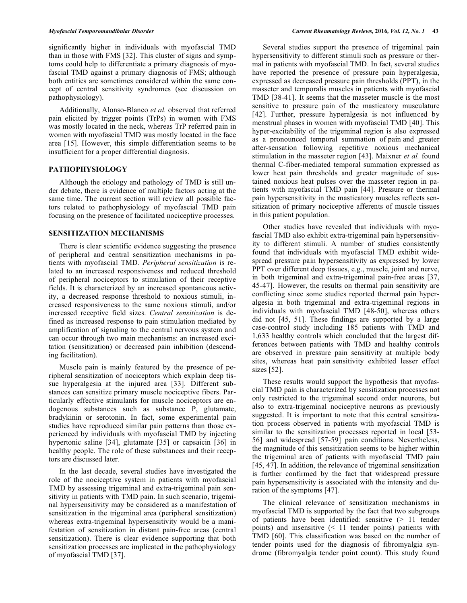significantly higher in individuals with myofascial TMD than in those with FMS [32]. This cluster of signs and symptoms could help to differentiate a primary diagnosis of myofascial TMD against a primary diagnosis of FMS; although both entities are sometimes considered within the same concept of central sensitivity syndromes (see discussion on pathophysiology).

 Additionally, Alonso-Blanco *et al.* observed that referred pain elicited by trigger points (TrPs) in women with FMS was mostly located in the neck, whereas TrP referred pain in women with myofascial TMD was mostly located in the face area [15]. However, this simple differentiation seems to be insufficient for a proper differential diagnosis.

# **PATHOPHYSIOLOGY**

 Although the etiology and pathology of TMD is still under debate, there is evidence of multiple factors acting at the same time. The current section will review all possible factors related to pathophysiology of myofascial TMD pain focusing on the presence of facilitated nociceptive processes.

### **SENSITIZATION MECHANISMS**

 There is clear scientific evidence suggesting the presence of peripheral and central sensitization mechanisms in patients with myofascial TMD. *Peripheral sensitization* is related to an increased responsiveness and reduced threshold of peripheral nociceptors to stimulation of their receptive fields. It is characterized by an increased spontaneous activity, a decreased response threshold to noxious stimuli, increased responsiveness to the same noxious stimuli, and/or increased receptive field sizes. *Central sensitization* is defined as increased response to pain stimulation mediated by amplification of signaling to the central nervous system and can occur through two main mechanisms: an increased excitation (sensitization) or decreased pain inhibition (descending facilitation).

 Muscle pain is mainly featured by the presence of peripheral sensitization of nociceptors which explain deep tissue hyperalgesia at the injured area [33]. Different substances can sensitize primary muscle nociceptive fibers. Particularly effective stimulants for muscle nociceptors are endogenous substances such as substance P, glutamate, bradykinin or serotonin. In fact, some experimental pain studies have reproduced similar pain patterns than those experienced by individuals with myofascial TMD by injecting hypertonic saline [34], glutamate [35] or capsaicin [36] in healthy people. The role of these substances and their receptors are discussed later.

 In the last decade, several studies have investigated the role of the nociceptive system in patients with myofascial TMD by assessing trigeminal and extra-trigeminal pain sensitivity in patients with TMD pain. In such scenario, trigeminal hypersensitivity may be considered as a manifestation of sensitization in the trigeminal area (peripheral sensitization) whereas extra-trigeminal hypersensitivity would be a manifestation of sensitization in distant pain-free areas (central sensitization). There is clear evidence supporting that both sensitization processes are implicated in the pathophysiology of myofascial TMD [37].

 Several studies support the presence of trigeminal pain hypersensitivity to different stimuli such as pressure or thermal in patients with myofascial TMD. In fact, several studies have reported the presence of pressure pain hyperalgesia, expressed as decreased pressure pain thresholds (PPT), in the masseter and temporalis muscles in patients with myofascial TMD [38-41]. It seems that the masseter muscle is the most sensitive to pressure pain of the masticatory musculature [42]. Further, pressure hyperalgesia is not influenced by menstrual phases in women with myofascial TMD [40]. This hyper-excitability of the trigeminal region is also expressed as a pronounced temporal summation of pain and greater after-sensation following repetitive noxious mechanical stimulation in the masseter region [43]. Maixner *et al.* found thermal C-fiber-mediated temporal summation expressed as lower heat pain thresholds and greater magnitude of sustained noxious heat pulses over the masseter region in patients with myofascial TMD pain [44]. Pressure or thermal pain hypersensitivity in the masticatory muscles reflects sensitization of primary nociceptive afferents of muscle tissues in this patient population.

 Other studies have revealed that individuals with myofascial TMD also exhibit extra-trigeminal pain hypersensitivity to different stimuli. A number of studies consistently found that individuals with myofascial TMD exhibit widespread pressure pain hypersensitivity as expressed by lower PPT over different deep tissues, e.g., muscle, joint and nerve, in both trigeminal and extra-trigeminal pain-free areas [37, 45-47]. However, the results on thermal pain sensitivity are conflicting since some studies reported thermal pain hyperalgesia in both trigeminal and extra-trigeminal regions in individuals with myofascial TMD [48-50], whereas others did not [45, 51]. These findings are supported by a large case-control study including 185 patients with TMD and 1,633 healthy controls which concluded that the largest differences between patients with TMD and healthy controls are observed in pressure pain sensitivity at multiple body sites, whereas heat pain sensitivity exhibited lesser effect sizes [52].

 These results would support the hypothesis that myofascial TMD pain is characterized by sensitization processes not only restricted to the trigeminal second order neurons, but also to extra-trigeminal nociceptive neurons as previously suggested. It is important to note that this central sensitization process observed in patients with myofascial TMD is similar to the sensitization processes reported in local [53- 56] and widespread [57-59] pain conditions. Nevertheless, the magnitude of this sensitization seems to be higher within the trigeminal area of patients with myofascial TMD pain [45, 47]. In addition, the relevance of trigeminal sensitization is further confirmed by the fact that widespread pressure pain hypersensitivity is associated with the intensity and duration of the symptoms [47].

 The clinical relevance of sensitization mechanisms in myofascial TMD is supported by the fact that two subgroups of patients have been identified: sensitive (> 11 tender points) and insensitive (< 11 tender points) patients with TMD [60]. This classification was based on the number of tender points used for the diagnosis of fibromyalgia syndrome (fibromyalgia tender point count). This study found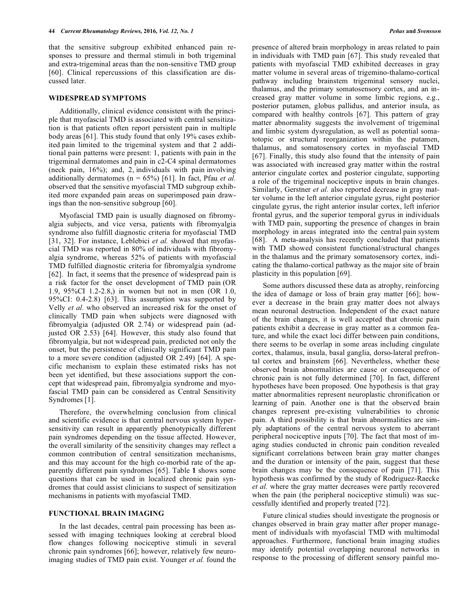that the sensitive subgroup exhibited enhanced pain responses to pressure and thermal stimuli in both trigeminal and extra-trigeminal areas than the non-sensitive TMD group [60]. Clinical repercussions of this classification are discussed later.

### **WIDESPREAD SYMPTOMS**

 Additionally, clinical evidence consistent with the principle that myofascial TMD is associated with central sensitization is that patients often report persistent pain in multiple body areas [61]. This study found that only 19% cases exhibited pain limited to the trigeminal system and that 2 additional pain patterns were present: 1, patients with pain in the trigeminal dermatomes and pain in c2-C4 spinal dermatomes (neck pain, 16%); and, 2, individuals with pain involving additionally dermatomes (n = 65%) [61]. In fact, Pfau *et al.* observed that the sensitive myofascial TMD subgroup exhibited more expanded pain areas on superimposed pain drawings than the non-sensitive subgroup [60].

 Myofascial TMD pain is usually diagnosed on fibromyalgia subjects, and vice versa, patients with fibromyalgia syndrome also fulfill diagnostic criteria for myofascial TMD [31, 32]. For instance, Leblebici *et al.* showed that myofascial TMD was reported in 80% of individuals with fibromyalgia syndrome, whereas 52% of patients with myofascial TMD fulfilled diagnostic criteria for fibromyalgia syndrome [62]. In fact, it seems that the presence of widespread pain is a risk factor for the onset development of TMD pain (OR 1.9, 95%CI 1.2-2.8,) in women but not in men (OR 1.0, 95%CI: 0.4-2.8) [63]. This assumption was supported by Velly *et al.* who observed an increased risk for the onset of clinically TMD pain when subjects were diagnosed with fibromyalgia (adjusted OR 2.74) or widespread pain (adjusted OR 2.53) [64]. However, this study also found that fibromyalgia, but not widespread pain, predicted not only the onset, but the persistence of clinically significant TMD pain to a more severe condition (adjusted OR 2.49) [64]. A specific mechanism to explain these estimated risks has not been yet identified, but these associations support the concept that widespread pain, fibromyalgia syndrome and myofascial TMD pain can be considered as Central Sensitivity Syndromes [1].

 Therefore, the overwhelming conclusion from clinical and scientific evidence is that central nervous system hypersensitivity can result in apparently phenotypically different pain syndromes depending on the tissue affected. However, the overall similarity of the sensitivity changes may reflect a common contribution of central sensitization mechanisms, and this may account for the high co-morbid rate of the apparently different pain syndromes [65]. Table **1** shows some questions that can be used in localized chronic pain syndromes that could assist clinicians to suspect of sensitization mechanisms in patients with myofascial TMD.

## **FUNCTIONAL BRAIN IMAGING**

 In the last decades, central pain processing has been assessed with imaging techniques looking at cerebral blood flow changes following nociceptive stimuli in several chronic pain syndromes [66]; however, relatively few neuroimaging studies of TMD pain exist. Younger *et al.* found the presence of altered brain morphology in areas related to pain in individuals with TMD pain [67]. This study revealed that patients with myofascial TMD exhibited decreases in gray matter volume in several areas of trigemino-thalamo-cortical pathway including brainstem trigeminal sensory nuclei, thalamus, and the primary somatosensory cortex, and an increased gray matter volume in some limbic regions, e.g., posterior putamen, globus pallidus, and anterior insula, as compared with healthy controls [67]. This pattern of gray matter abnormality suggests the involvement of trigeminal and limbic system dysregulation, as well as potential somatotopic or structural reorganization within the putamen, thalamus, and somatosensory cortex in myofascial TMD [67]. Finally, this study also found that the intensity of pain was associated with increased gray matter within the rostral anterior cingulate cortex and posterior cingulate, supporting a role of the trigeminal nociceptive inputs in brain changes. Similarly, Gerstner *et al.* also reported decrease in gray matter volume in the left anterior cingulate gyrus, right posterior cingulate gyrus, the right anterior insular cortex, left inferior frontal gyrus, and the superior temporal gyrus in individuals with TMD pain, supporting the presence of changes in brain morphology in areas integrated into the central pain system [68]. A meta-analysis has recently concluded that patients with TMD showed consistent functional/structural changes in the thalamus and the primary somatosensory cortex, indicating the thalamo-cortical pathway as the major site of brain plasticity in this population [69].

 Some authors discussed these data as atrophy, reinforcing the idea of damage or loss of brain gray matter [66]; however a decrease in the brain gray matter does not always mean neuronal destruction. Independent of the exact nature of the brain changes, it is well accepted that chronic pain patients exhibit a decrease in gray matter as a common feature, and while the exact loci differ between pain conditions, there seems to be overlap in some areas including cingulate cortex, thalamus, insula, basal ganglia, dorso-lateral prefrontal cortex and brainstem [66]. Nevertheless, whether these observed brain abnormalities are cause or consequence of chronic pain is not fully determined [70]. In fact, different hypotheses have been proposed. One hypothesis is that gray matter abnormalities represent neuroplastic chronification or learning of pain. Another one is that the observed brain changes represent pre-existing vulnerabilities to chronic pain. A third possibility is that brain abnormalities are simply adaptations of the central nervous system to aberrant peripheral nociceptive inputs [70]. The fact that most of imaging studies conducted in chronic pain condition revealed significant correlations between brain gray matter changes and the duration or intensity of the pain, suggest that these brain changes may be the consequence of pain [71]. This hypothesis was confirmed by the study of Rodriguez-Raecke *et al.* where the gray matter decreases were partly recovered when the pain (the peripheral nociceptive stimuli) was successfully identified and properly treated [72].

 Future clinical studies should investigate the prognosis or changes observed in brain gray matter after proper management of individuals with myofascial TMD with multimodal approaches. Furthermore, functional brain imaging studies may identify potential overlapping neuronal networks in response to the processing of different sensory painful mo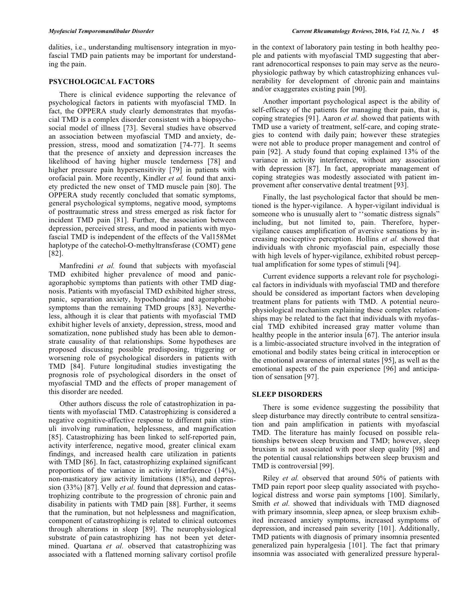dalities, i.e., understanding multisensory integration in myofascial TMD pain patients may be important for understanding the pain.

# **PSYCHOLOGICAL FACTORS**

 There is clinical evidence supporting the relevance of psychological factors in patients with myofascial TMD. In fact, the OPPERA study clearly demonstrates that myofascial TMD is a complex disorder consistent with a biopsychosocial model of illness [73]. Several studies have observed an association between myofascial TMD and anxiety, depression, stress, mood and somatization [74-77]. It seems that the presence of anxiety and depression increases the likelihood of having higher muscle tenderness [78] and higher pressure pain hypersensitivity [79] in patients with orofacial pain. More recently, Kindler *et al.* found that anxiety predicted the new onset of TMD muscle pain [80]. The OPPERA study recently concluded that somatic symptoms, general psychological symptoms, negative mood, symptoms of posttraumatic stress and stress emerged as risk factor for incident TMD pain [81]. Further, the association between depression, perceived stress, and mood in patients with myofascial TMD is independent of the effects of the Val158Met haplotype of the catechol-O-methyltransferase (COMT) gene [82].

 Manfredini *et al.* found that subjects with myofascial TMD exhibited higher prevalence of mood and panicagoraphobic symptoms than patients with other TMD diagnosis. Patients with myofascial TMD exhibited higher stress, panic, separation anxiety, hypochondriac and agoraphobic symptoms than the remaining TMD groups [83]. Nevertheless, although it is clear that patients with myofascial TMD exhibit higher levels of anxiety, depression, stress, mood and somatization, none published study has been able to demonstrate causality of that relationships. Some hypotheses are proposed discussing possible predisposing, triggering or worsening role of psychological disorders in patients with TMD [84]. Future longitudinal studies investigating the prognosis role of psychological disorders in the onset of myofascial TMD and the effects of proper management of this disorder are needed.

 Other authors discuss the role of catastrophization in patients with myofascial TMD. Catastrophizing is considered a negative cognitive-affective response to different pain stimuli involving rumination, helplessness, and magnification [85]. Catastrophizing has been linked to self-reported pain, activity interference, negative mood, greater clinical exam findings, and increased health care utilization in patients with TMD [86]. In fact, catastrophizing explained significant proportions of the variance in activity interference (14%), non-masticatory jaw activity limitations (18%), and depression (33%) [87]. Velly *et al.* found that depression and catastrophizing contribute to the progression of chronic pain and disability in patients with TMD pain [88]. Further, it seems that the rumination, but not helplessness and magnification, component of catastrophizing is related to clinical outcomes through alterations in sleep [89]. The neurophysiological substrate of pain catastrophizing has not been yet determined. Quartana *et al.* observed that catastrophizing was associated with a flattened morning salivary cortisol profile

in the context of laboratory pain testing in both healthy people and patients with myofascial TMD suggesting that aberrant adrenocortical responses to pain may serve as the neurophysiologic pathway by which catastrophizing enhances vulnerability for development of chronic pain and maintains and/or exaggerates existing pain [90].

 Another important psychological aspect is the ability of self-efficacy of the patients for managing their pain, that is, coping strategies [91]. Aaron *et al.* showed that patients with TMD use a variety of treatment, self-care, and coping strategies to contend with daily pain; however these strategies were not able to produce proper management and control of pain [92]. A study found that coping explained 13% of the variance in activity interference, without any association with depression [87]. In fact, appropriate management of coping strategies was modestly associated with patient improvement after conservative dental treatment [93].

 Finally, the last psychological factor that should be mentioned is the hyper-vigilance. A hyper-vigilant individual is someone who is unusually alert to "somatic distress signals" including, but not limited to, pain. Therefore, hypervigilance causes amplification of aversive sensations by increasing nociceptive perception. Hollins *et al.* showed that individuals with chronic myofascial pain, especially those with high levels of hyper-vigilance, exhibited robust perceptual amplification for some types of stimuli [94].

 Current evidence supports a relevant role for psychological factors in individuals with myofascial TMD and therefore should be considered as important factors when developing treatment plans for patients with TMD. A potential neurophysiological mechanism explaining these complex relationships may be related to the fact that individuals with myofascial TMD exhibited increased gray matter volume than healthy people in the anterior insula [67]. The anterior insula is a limbic-associated structure involved in the integration of emotional and bodily states being critical in interoception or the emotional awareness of internal states [95], as well as the emotional aspects of the pain experience [96] and anticipation of sensation [97].

# **SLEEP DISORDERS**

 There is some evidence suggesting the possibility that sleep disturbance may directly contribute to central sensitization and pain amplification in patients with myofascial TMD. The literature has mainly focused on possible relationships between sleep bruxism and TMD; however, sleep bruxism is not associated with poor sleep quality [98] and the potential causal relationships between sleep bruxism and TMD is controversial [99].

 Riley *et al.* observed that around 50% of patients with TMD pain report poor sleep quality associated with psychological distress and worse pain symptoms [100]. Similarly, Smith *et al.* showed that individuals with TMD diagnosed with primary insomnia, sleep apnea, or sleep bruxism exhibited increased anxiety symptoms, increased symptoms of depression, and increased pain severity [101]. Additionally, TMD patients with diagnosis of primary insomnia presented generalized pain hyperalgesia [101]. The fact that primary insomnia was associated with generalized pressure hyperal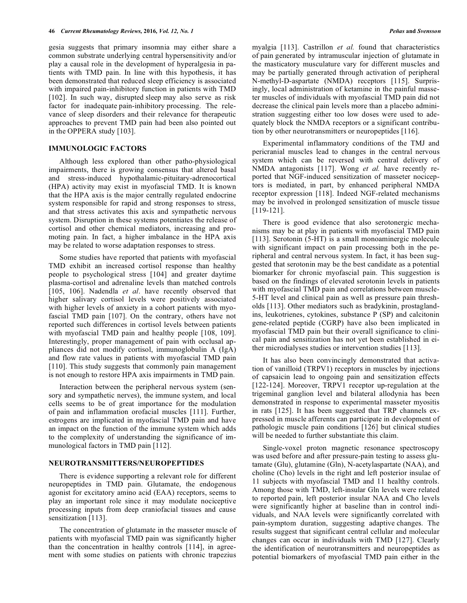gesia suggests that primary insomnia may either share a common substrate underlying central hypersensitivity and/or play a causal role in the development of hyperalgesia in patients with TMD pain. In line with this hypothesis, it has been demonstrated that reduced sleep efficiency is associated with impaired pain-inhibitory function in patients with TMD [102]. In such way, disrupted sleep may also serve as risk factor for inadequate pain-inhibitory processing. The relevance of sleep disorders and their relevance for therapeutic approaches to prevent TMD pain had been also pointed out in the OPPERA study [103].

# **IMMUNOLOGIC FACTORS**

 Although less explored than other patho-physiological impairments, there is growing consensus that altered basal and stress-induced hypothalamic-pituitary-adrenocortical (HPA) activity may exist in myofascial TMD. It is known that the HPA axis is the major centrally regulated endocrine system responsible for rapid and strong responses to stress, and that stress activates this axis and sympathetic nervous system. Disruption in these systems potentiates the release of cortisol and other chemical mediators, increasing and promoting pain. In fact, a higher imbalance in the HPA axis may be related to worse adaptation responses to stress.

 Some studies have reported that patients with myofascial TMD exhibit an increased cortisol response than healthy people to psychological stress [104] and greater daytime plasma-cortisol and adrenaline levels than matched controls [105, 106]. Nadendla *et al*. have recently observed that higher salivary cortisol levels were positively associated with higher levels of anxiety in a cohort patients with myofascial TMD pain [107]. On the contrary, others have not reported such differences in cortisol levels between patients with myofascial TMD pain and healthy people [108, 109]. Interestingly, proper management of pain with occlusal appliances did not modify cortisol, immunoglobulin A (IgA) and flow rate values in patients with myofascial TMD pain [110]. This study suggests that commonly pain management is not enough to restore HPA axis impairments in TMD pain.

 Interaction between the peripheral nervous system (sensory and sympathetic nerves), the immune system, and local cells seems to be of great importance for the modulation of pain and inflammation orofacial muscles [111]. Further, estrogens are implicated in myofascial TMD pain and have an impact on the function of the immune system which adds to the complexity of understanding the significance of immunological factors in TMD pain [112].

# **NEUROTRANSMITTERS/NEUROPEPTIDES**

 There is evidence supporting a relevant role for different neuropeptides in TMD pain. Glutamate, the endogenous agonist for excitatory amino acid (EAA) receptors, seems to play an important role since it may modulate nociceptive processing inputs from deep craniofacial tissues and cause sensitization [113].

 The concentration of glutamate in the masseter muscle of patients with myofascial TMD pain was significantly higher than the concentration in healthy controls [114], in agreement with some studies on patients with chronic trapezius

myalgia [113]. Castrillon *et al.* found that characteristics of pain generated by intramuscular injection of glutamate in the masticatory musculature vary for different muscles and may be partially generated through activation of peripheral N-methyl-D-aspartate (NMDA) receptors [115]. Surprisingly, local administration of ketamine in the painful masseter muscles of individuals with myofascial TMD pain did not decrease the clinical pain levels more than a placebo administration suggesting either too low doses were used to adequately block the NMDA receptors or a significant contribution by other neurotransmitters or neuropeptides [116].

 Experimental inflammatory conditions of the TMJ and pericranial muscles lead to changes in the central nervous system which can be reversed with central delivery of NMDA antagonists [117]. Wong *et al.* have recently reported that NGF-induced sensitization of masseter nociceptors is mediated, in part, by enhanced peripheral NMDA receptor expression [118]. Indeed NGF-related mechanisms may be involved in prolonged sensitization of muscle tissue [119-121].

 There is good evidence that also serotonergic mechanisms may be at play in patients with myofascial TMD pain [113]. Serotonin (5-HT) is a small monoaminergic molecule with significant impact on pain processing both in the peripheral and central nervous system. In fact, it has been suggested that serotonin may be the best candidate as a potential biomarker for chronic myofascial pain. This suggestion is based on the findings of elevated serotonin levels in patients with myofascial TMD pain and correlations between muscle-5-HT level and clinical pain as well as pressure pain thresholds [113]. Other mediators such as bradykinin, prostaglandins, leukotrienes, cytokines, substance P (SP) and calcitonin gene-related peptide (CGRP) have also been implicated in myofascial TMD pain but their overall significance to clinical pain and sensitization has not yet been established in either microdialyses studies or intervention studies [113].

 It has also been convincingly demonstrated that activation of vanilloid (TRPV1) receptors in muscles by injections of capsaicin lead to ongoing pain and sensitization effects [122-124]. Moreover, TRPV1 receptor up-regulation at the trigeminal ganglion level and bilateral allodynia has been demonstrated in response to experimental masseter myositis in rats [125]. It has been suggested that TRP channels expressed in muscle afferents can participate in development of pathologic muscle pain conditions [126] but clinical studies will be needed to further substantiate this claim.

 Single-voxel proton magnetic resonance spectroscopy was used before and after pressure-pain testing to assess glutamate (Glu), glutamine (Gln), N-acetylaspartate (NAA), and choline (Cho) levels in the right and left posterior insulae of 11 subjects with myofascial TMD and 11 healthy controls. Among those with TMD, left-insular Gln levels were related to reported pain, left posterior insular NAA and Cho levels were significantly higher at baseline than in control individuals, and NAA levels were significantly correlated with pain-symptom duration, suggesting adaptive changes. The results suggest that significant central cellular and molecular changes can occur in individuals with TMD [127]. Clearly the identification of neurotransmitters and neuropeptides as potential biomarkers of myofascial TMD pain either in the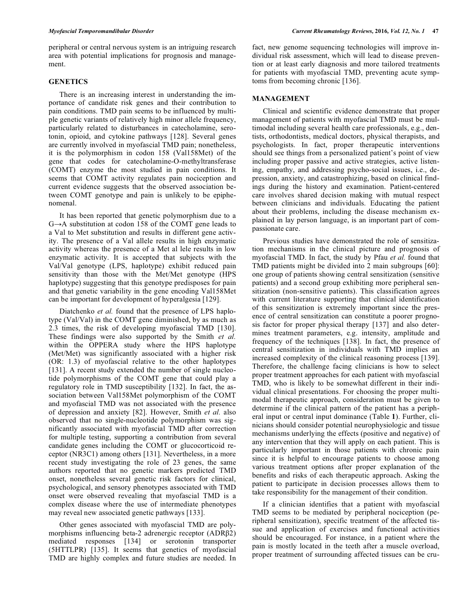peripheral or central nervous system is an intriguing research area with potential implications for prognosis and management.

#### **GENETICS**

 There is an increasing interest in understanding the importance of candidate risk genes and their contribution to pain conditions. TMD pain seems to be influenced by multiple genetic variants of relatively high minor allele frequency, particularly related to disturbances in catecholamine, serotonin, opioid, and cytokine pathways [128]. Several genes are currently involved in myofascial TMD pain; nonetheless, it is the polymorphism in codon 158 (Val158Met) of the gene that codes for catecholamine-O-methyltransferase (COMT) enzyme the most studied in pain conditions. It seems that COMT activity regulates pain nociception and current evidence suggests that the observed association between COMT genotype and pain is unlikely to be epiphenomenal.

 It has been reported that genetic polymorphism due to a  $G \rightarrow A$  substitution at codon 158 of the COMT gene leads to a Val to Met substitution and results in different gene activity. The presence of a Val allele results in high enzymatic activity whereas the presence of a Met al lele results in low enzymatic activity. It is accepted that subjects with the Val/Val genotype (LPS, haplotype) exhibit reduced pain sensitivity than those with the Met/Met genotype (HPS haplotype) suggesting that this genotype predisposes for pain and that genetic variability in the gene encoding Val158Met can be important for development of hyperalgesia [129].

 Diatchenko *et al.* found that the presence of LPS haplotype (Val/Val) in the COMT gene diminished, by as much as 2.3 times, the risk of developing myofascial TMD [130]. These findings were also supported by the Smith *et al.* within the OPPERA study where the HPS haplotype (Met/Met) was significantly associated with a higher risk (OR: 1.3) of myofascial relative to the other haplotypes [131]. A recent study extended the number of single nucleotide polymorphisms of the COMT gene that could play a regulatory role in TMD susceptibility [132]. In fact, the association between Val158Met polymorphism of the COMT and myofascial TMD was not associated with the presence of depression and anxiety [82]. However, Smith *et al.* also observed that no single-nucleotide polymorphism was significantly associated with myofascial TMD after correction for multiple testing, supporting a contribution from several candidate genes including the COMT or glucocorticoid receptor (NR3C1) among others [131]. Nevertheless, in a more recent study investigating the role of 23 genes, the same authors reported that no genetic markers predicted TMD onset, nonetheless several genetic risk factors for clinical, psychological, and sensory phenotypes associated with TMD onset were observed revealing that myofascial TMD is a complex disease where the use of intermediate phenotypes may reveal new associated genetic pathways [133].

 Other genes associated with myofascial TMD are polymorphisms influencing beta-2 adrenergic receptor (ADRβ2) mediated responses [134] or serotonin transporter (5HTTLPR) [135]. It seems that genetics of myofascial TMD are highly complex and future studies are needed. In fact, new genome sequencing technologies will improve individual risk assessment, which will lead to disease prevention or at least early diagnosis and more tailored treatments for patients with myofascial TMD, preventing acute symptoms from becoming chronic [136].

#### **MANAGEMENT**

 Clinical and scientific evidence demonstrate that proper management of patients with myofascial TMD must be multimodal including several health care professionals, e.g., dentists, orthodontists, medical doctors, physical therapists, and psychologists. In fact, proper therapeutic interventions should see things from a personalized patient's point of view including proper passive and active strategies, active listening, empathy, and addressing psycho-social issues, i.e., depression, anxiety, and catastrophizing, based on clinical findings during the history and examination. Patient-centered care involves shared decision making with mutual respect between clinicians and individuals. Educating the patient about their problems, including the disease mechanism explained in lay person language, is an important part of compassionate care.

 Previous studies have demonstrated the role of sensitization mechanisms in the clinical picture and prognosis of myofascial TMD. In fact, the study by Pfau *et al.* found that TMD patients might be divided into 2 main subgroups [60]: one group of patients showing central sensitization (sensitive patients) and a second group exhibiting more peripheral sensitization (non-sensitive patients). This classification agrees with current literature supporting that clinical identification of this sensitization is extremely important since the presence of central sensitization can constitute a poorer prognosis factor for proper physical therapy [137] and also determines treatment parameters, e.g. intensity, amplitude and frequency of the techniques [138]. In fact, the presence of central sensitization in individuals with TMD implies an increased complexity of the clinical reasoning process [139]. Therefore, the challenge facing clinicians is how to select proper treatment approaches for each patient with myofascial TMD, who is likely to be somewhat different in their individual clinical presentations. For choosing the proper multimodal therapeutic approach, consideration must be given to determine if the clinical pattern of the patient has a peripheral input or central input dominance (Table **1**). Further, clinicians should consider potential neurophysiologic and tissue mechanisms underlying the effects (positive and negative) of any intervention that they will apply on each patient. This is particularly important in those patients with chronic pain since it is helpful to encourage patients to choose among various treatment options after proper explanation of the benefits and risks of each therapeutic approach. Asking the patient to participate in decision processes allows them to take responsibility for the management of their condition.

 If a clinician identifies that a patient with myofascial TMD seems to be mediated by peripheral nociception (peripheral sensitization), specific treatment of the affected tissue and application of exercises and functional activities should be encouraged. For instance, in a patient where the pain is mostly located in the teeth after a muscle overload, proper treatment of surrounding affected tissues can be cru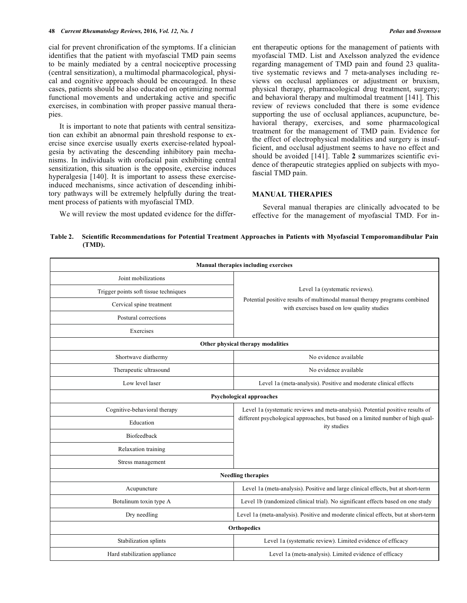cial for prevent chronification of the symptoms. If a clinician identifies that the patient with myofascial TMD pain seems to be mainly mediated by a central nociceptive processing (central sensitization), a multimodal pharmacological, physical and cognitive approach should be encouraged. In these cases, patients should be also educated on optimizing normal functional movements and undertaking active and specific exercises, in combination with proper passive manual therapies.

 It is important to note that patients with central sensitization can exhibit an abnormal pain threshold response to exercise since exercise usually exerts exercise-related hypoalgesia by activating the descending inhibitory pain mechanisms. In individuals with orofacial pain exhibiting central sensitization, this situation is the opposite, exercise induces hyperalgesia [140]. It is important to assess these exerciseinduced mechanisms, since activation of descending inhibitory pathways will be extremely helpfully during the treatment process of patients with myofascial TMD.

We will review the most updated evidence for the differ-

ent therapeutic options for the management of patients with myofascial TMD. List and Axelsson analyzed the evidence regarding management of TMD pain and found 23 qualitative systematic reviews and 7 meta-analyses including reviews on occlusal appliances or adjustment or bruxism, physical therapy, pharmacological drug treatment, surgery; and behavioral therapy and multimodal treatment [141]. This review of reviews concluded that there is some evidence supporting the use of occlusal appliances, acupuncture, behavioral therapy, exercises, and some pharmacological treatment for the management of TMD pain. Evidence for the effect of electrophysical modalities and surgery is insufficient, and occlusal adjustment seems to have no effect and should be avoided [141]. Table **2** summarizes scientific evidence of therapeutic strategies applied on subjects with myofascial TMD pain.

## **MANUAL THERAPIES**

Several manual therapies are clinically advocated to be effective for the management of myofascial TMD. For in-

**Table 2. Scientific Recommendations for Potential Treatment Approaches in Patients with Myofascial Temporomandibular Pain (TMD).** 

| Manual therapies including exercises  |                                                                                                                                                                                  |  |  |
|---------------------------------------|----------------------------------------------------------------------------------------------------------------------------------------------------------------------------------|--|--|
| Joint mobilizations                   |                                                                                                                                                                                  |  |  |
| Trigger points soft tissue techniques | Level 1a (systematic reviews).                                                                                                                                                   |  |  |
| Cervical spine treatment              | Potential positive results of multimodal manual therapy programs combined<br>with exercises based on low quality studies                                                         |  |  |
| Postural corrections                  |                                                                                                                                                                                  |  |  |
| Exercises                             |                                                                                                                                                                                  |  |  |
| Other physical therapy modalities     |                                                                                                                                                                                  |  |  |
| Shortwave diathermy                   | No evidence available                                                                                                                                                            |  |  |
| Therapeutic ultrasound                | No evidence available                                                                                                                                                            |  |  |
| Low level laser                       | Level 1a (meta-analysis). Positive and moderate clinical effects                                                                                                                 |  |  |
| Psychological approaches              |                                                                                                                                                                                  |  |  |
| Cognitive-behavioral therapy          | Level 1a (systematic reviews and meta-analysis). Potential positive results of<br>different psychological approaches, but based on a limited number of high qual-<br>ity studies |  |  |
| Education                             |                                                                                                                                                                                  |  |  |
| Biofeedback                           |                                                                                                                                                                                  |  |  |
| Relaxation training                   |                                                                                                                                                                                  |  |  |
| Stress management                     |                                                                                                                                                                                  |  |  |
| <b>Needling therapies</b>             |                                                                                                                                                                                  |  |  |
| Acupuncture                           | Level 1a (meta-analysis). Positive and large clinical effects, but at short-term                                                                                                 |  |  |
| Botulinum toxin type A                | Level 1b (randomized clinical trial). No significant effects based on one study                                                                                                  |  |  |
| Dry needling                          | Level 1a (meta-analysis). Positive and moderate clinical effects, but at short-term                                                                                              |  |  |
| Orthopedics                           |                                                                                                                                                                                  |  |  |
| Stabilization splints                 | Level 1a (systematic review). Limited evidence of efficacy                                                                                                                       |  |  |
| Hard stabilization appliance          | Level 1a (meta-analysis). Limited evidence of efficacy                                                                                                                           |  |  |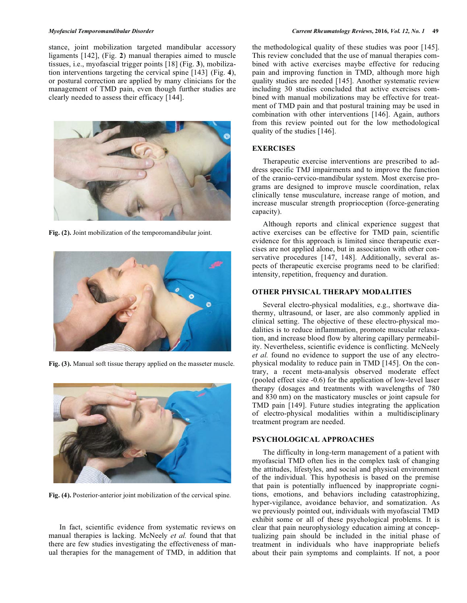stance, joint mobilization targeted mandibular accessory ligaments [142], (Fig. **2**) manual therapies aimed to muscle tissues, i.e., myofascial trigger points [18] (Fig. **3**), mobilization interventions targeting the cervical spine [143] (Fig. **4**), or postural correction are applied by many clinicians for the management of TMD pain, even though further studies are clearly needed to assess their efficacy [144].



**Fig. (2).** Joint mobilization of the temporomandibular joint.



**Fig. (3).** Manual soft tissue therapy applied on the masseter muscle.



Fig. (4). Posterior-anterior joint mobilization of the cervical spine.

 In fact, scientific evidence from systematic reviews on manual therapies is lacking. McNeely *et al.* found that that there are few studies investigating the effectiveness of manual therapies for the management of TMD, in addition that the methodological quality of these studies was poor [145]. This review concluded that the use of manual therapies combined with active exercises maybe effective for reducing pain and improving function in TMD, although more high quality studies are needed [145]. Another systematic review including 30 studies concluded that active exercises combined with manual mobilizations may be effective for treatment of TMD pain and that postural training may be used in combination with other interventions [146]. Again, authors from this review pointed out for the low methodological quality of the studies [146].

# **EXERCISES**

 Therapeutic exercise interventions are prescribed to address specific TMJ impairments and to improve the function of the cranio-cervico-mandibular system. Most exercise programs are designed to improve muscle coordination, relax clinically tense musculature, increase range of motion, and increase muscular strength proprioception (force-generating capacity).

 Although reports and clinical experience suggest that active exercises can be effective for TMD pain, scientific evidence for this approach is limited since therapeutic exercises are not applied alone, but in association with other conservative procedures [147, 148]. Additionally, several aspects of therapeutic exercise programs need to be clarified: intensity, repetition, frequency and duration.

# **OTHER PHYSICAL THERAPY MODALITIES**

 Several electro-physical modalities, e.g., shortwave diathermy, ultrasound, or laser, are also commonly applied in clinical setting. The objective of these electro-physical modalities is to reduce inflammation, promote muscular relaxation, and increase blood flow by altering capillary permeability. Nevertheless, scientific evidence is conflicting. McNeely *et al.* found no evidence to support the use of any electrophysical modality to reduce pain in TMD [145]. On the contrary, a recent meta-analysis observed moderate effect (pooled effect size -0.6) for the application of low-level laser therapy (dosages and treatments with wavelengths of 780 and 830 nm) on the masticatory muscles or joint capsule for TMD pain [149]. Future studies integrating the application of electro-physical modalities within a multidisciplinary treatment program are needed.

# **PSYCHOLOGICAL APPROACHES**

 The difficulty in long-term management of a patient with myofascial TMD often lies in the complex task of changing the attitudes, lifestyles, and social and physical environment of the individual. This hypothesis is based on the premise that pain is potentially influenced by inappropriate cognitions, emotions, and behaviors including catastrophizing, hyper-vigilance, avoidance behavior, and somatization. As we previously pointed out, individuals with myofascial TMD exhibit some or all of these psychological problems. It is clear that pain neurophysiology education aiming at conceptualizing pain should be included in the initial phase of treatment in individuals who have inappropriate beliefs about their pain symptoms and complaints. If not, a poor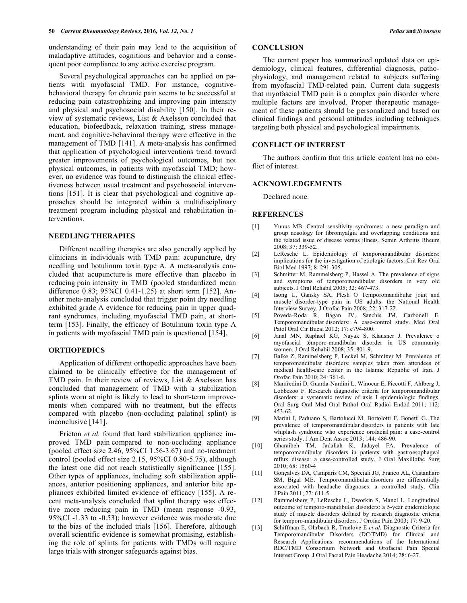understanding of their pain may lead to the acquisition of maladaptive attitudes, cognitions and behavior and a consequent poor compliance to any active exercise program.

 Several psychological approaches can be applied on patients with myofascial TMD. For instance, cognitivebehavioral therapy for chronic pain seems to be successful at reducing pain catastrophizing and improving pain intensity and physical and psychosocial disability [150]. In their review of systematic reviews, List & Axelsson concluded that education, biofeedback, relaxation training, stress management, and cognitive-behavioral therapy were effective in the management of TMD [141]. A meta-analysis has confirmed that application of psychological interventions trend toward greater improvements of psychological outcomes, but not physical outcomes, in patients with myofascial TMD; however, no evidence was found to distinguish the clinical effectiveness between usual treatment and psychosocial interventions [151]. It is clear that psychological and cognitive approaches should be integrated within a multidisciplinary treatment program including physical and rehabilitation interventions.

#### **NEEDLING THERAPIES**

 Different needling therapies are also generally applied by clinicians in individuals with TMD pain: acupuncture, dry needling and botulinum toxin type A. A meta-analysis concluded that acupuncture is more effective than placebo in reducing pain intensity in TMD (pooled standardized mean difference 0.83; 95%CI 0.41-1.25) at short term [152]. Another meta-analysis concluded that trigger point dry needling exhibited grade A evidence for reducing pain in upper quadrant syndromes, including myofascial TMD pain, at shortterm [153]. Finally, the efficacy of Botulinum toxin type A in patients with myofascial TMD pain is questioned [154].

# **ORTHOPEDICS**

 Application of different orthopedic approaches have been claimed to be clinically effective for the management of TMD pain. In their review of reviews, List & Axelsson has concluded that management of TMD with a stabilization splints worn at night is likely to lead to short-term improvements when compared with no treatment, but the effects compared with placebo (non-occluding palatinal splint) is inconclusive [141].

Fricton *et al.* found that hard stabilization appliance improved TMD pain compared to non-occluding appliance (pooled effect size 2.46, 95%CI 1.56-3.67) and no-treatment control (pooled effect size 2.15, 95%CI 0.80-5.75), although the latest one did not reach statistically significance [155]. Other types of appliances, including soft stabilization appliances, anterior positioning appliances, and anterior bite appliances exhibited limited evidence of efficacy [155]. A recent meta-analysis concluded that splint therapy was effective more reducing pain in TMD (mean response -0.93, 95%CI -1.33 to -0.53); however evidence was moderate due to the bias of the included trials [156]. Therefore, although overall scientific evidence is somewhat promising, establishing the role of splints for patients with TMDs will require large trials with stronger safeguards against bias.

# **CONCLUSION**

 The current paper has summarized updated data on epidemiology, clinical features, differential diagnosis, pathophysiology, and management related to subjects suffering from myofascial TMD-related pain. Current data suggests that myofascial TMD pain is a complex pain disorder where multiple factors are involved. Proper therapeutic management of these patients should be personalized and based on clinical findings and personal attitudes including techniques targeting both physical and psychological impairments.

### **CONFLICT OF INTEREST**

 The authors confirm that this article content has no conflict of interest.

#### **ACKNOWLEDGEMENTS**

Declared none.

#### **REFERENCES**

- [1] Yunus MB. Central sensitivity syndromes: a new paradigm and group nosology for fibromyalgia and overlapping conditions and the related issue of disease versus illness. Semin Arthritis Rheum 2008; 37: 339-52.
- [2] LeResche L. Epidemiology of temporomandibular disorders: implications for the investigation of etiologic factors. Crit Rev Oral Biol Med 1997; 8: 291-305.
- [3] Schmitter M, Rammelsberg P, Hassel A. The prevalence of signs and symptoms of temporomandibular disorders in very old subjects. J Oral Rehabil 2005; 32: 467-473.
- [4] Isong U, Gansky SA, Plesh O Temporomandibular joint and muscle disorder-type pain in US adults: the National Health Interview Survey. J Orofac Pain 2008; 22: 317-22.
- [5] Poveda-Roda R, Bagan JV, Sanchis JM, Carbonell E. Temporomandibular disorders: A case-control study. Med Oral Patol Oral Cir Bucal 2012; 17: e794-800.
- [6] Janal MN, Raphael KG, Nayak S, Klausner J. Prevalence o myofascial témporo-mandibular disorder in US community women. J Oral Rehabil 2008; 35: 801-9.
- [7] Balke Z, Rammelsberg P, Leckel M, Schmitter M. Prevalence of temporomandibular disorders: samples taken from attendees of medical health-care center in the Islamic Republic of Iran. J Orofac Pain 2010; 24: 361-6.
- [8] Manfredini D, Guarda-Nardini L, Winocur E, Piccotti F, Ahlberg J, Lobbezoo F. Research diagnostic criteria for temporomandibular disorders: a systematic review of axis I epidemiologic findings. Oral Surg Oral Med Oral Pathol Oral Radiol Endod 2011; 112: 453-62.
- [9] Marini I, Paduano S, Bartolucci M, Bortolotti F, Bonetti G. The prevalence of temporomandibular disorders in patients with late whiplash syndrome who experience orofacial pain: a case-control series study. J Am Dent Assoc 2013; 144: 486-90.
- [10] Gharaibeh TM, Jadallah K, Jadayel FA. Prevalence of temporomandibular disorders in patients with gastroesophageal reflux disease: a case-controlled study. J Oral Maxillofac Surg 2010; 68: 1560-4
- [11] Gonçalves DA, Camparis CM, Speciali JG, Franco AL, Castanharo SM, Bigal ME. Temporomandibular disorders are differentially associated with headache diagnoses: a controlled study. Clin J Pain.2011; 27: 611-5.
- [12] Rammelsberg P, LeResche L, Dworkin S, Mancl L. Longitudinal outcome of temporo-mandibular disorders: a 5-year epidemiologic study of muscle disorders defined by research diagnostic criteria for temporo-mandibular disorders. J Orofac Pain 2003; 17: 9-20.
- [13] Schiffman E, Ohrbach R, Truelove E *et al*. Diagnostic Criteria for Temporomandibular Disorders (DC/TMD) for Clinical and Research Applications: recommendations of the International RDC/TMD Consortium Network and Orofacial Pain Special Interest Group. J Oral Facial Pain Headache 2014; 28: 6-27.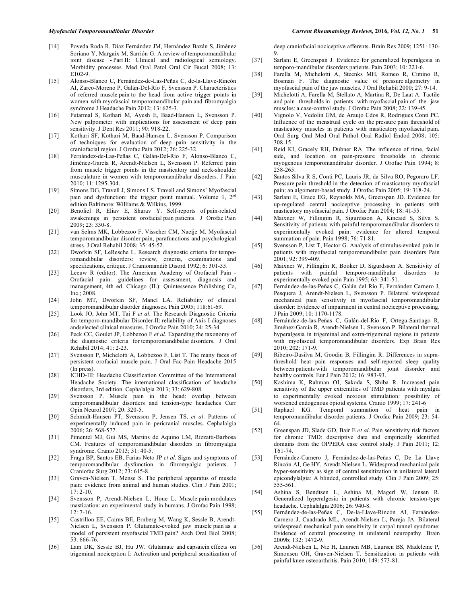- [14] Poveda Roda R, Díaz Fernández JM, Hernández Bazán S, Jiménez Soriano Y, Margaix M, Sarrión G. A review of temporomandibular joint disease - Part II: Clinical and radiological semiology. Morbidity processes. Med Oral Patol Oral Cir Bucal 2008; 13: E102-9.
- [15] Alonso-Blanco C, Fernández-de-Las-Peñas C, de-la-Llave-Rincón AI, Zarco-Moreno P, Galán-Del-Río F, Svensson P. Characteristics of referred muscle pain to the head from active trigger points in women with myofascial temporomandibular pain and fibromyalgia syndrome J Headache Pain 2012; 13: 625-3.
- [16] Futarmal S, Kothari M, Ayesh E, Baad-Hansen L, Svensson P. New palpometer with implications for assessment of deep pain sensitivity. J Dent Res 2011; 90: 918-22.
- [17] Kothari SF, Kothari M, Baad-Hansen L, Svensson P. Comparison of techniques for evaluation of deep pain sensitivity in the craniofacial region. J Orofac Pain 2012; 26: 225-32.
- [18] Fernández-de-Las-Peñas C, Galán-Del-Río F, Alonso-Blanco C, Jiménez-García R, Arendt-Nielsen L, Svensson P. Referred pain from muscle trigger points in the masticatory and neck-shoulder musculature in women with temporomandibular disorders. J Pain 2010; 11: 1295-304.
- [19] Simons DG, Travell J, Simons LS. Travell and Simons' Myofascial pain and dysfunction: the trigger point manual. Volume 1,  $2<sup>nd</sup>$ edition Baltimore: Williams & Wilkins, 1999.
- [20] Benoliel R, Eliav E, Sharav Y. Self-reports of pain-related awakenings in persistent orofacial pain patients. J Orofac Pain 2009; 23: 330-8.
- [21] van Selms MK, Lobbezoo F, Visscher CM, Naeije M. Myofascial temporomandibular disorder pain, parafunctions and psychological stress. J Oral Rehabil 2008; 35: 45-52.
- [22] Dworkin SF, LeResche L. Research diagnostic criteria for temporomandibular disorders: review, criteria, examinations and specifications, critique. J Craniomandib Disord 1992; 6: 301-55.
- [23] Leeuw R (editor). The American Academy of Orofacial Pain Orofacial pain: guidelines for assessment, diagnosis and management, 4th ed. Chicago (IL): Quintessence Publishing Co, Inc.; 2008.
- [24] John MT, Dworkin SF, Mancl LA. Reliability of clinical temporomandibular disorder diagnoses. Pain 2005; 118:61-69.
- [25] Look JO, John MT, Tai F *et al*. The Research Diagnostic Criteria for temporo-mandibular Disorder-II: reliability of Axis I diagnoses andselected clinical measures. J Orofac Pain 2010; 24: 25-34
- [26] Peck CC, Goulet JP, Lobbezoo F *et al*. Expanding the taxonomy of the diagnostic criteria for temporomandibular disorders. J Oral Rehabil 2014; 41: 2-23.
- [27] Svensson P, Michelotti A, Lobbezoo F, List T. The many faces of persistent orofacial muscle pain. J Oral Fac Pain Headache 2015 (In press).
- [28] ICHD-III: Headache Classification Committee of the International Headache Society. The international classification of headache disorders, 3rd edition. Cephalalgia 2013; 33: 629-808.
- [29] Svensson P. Muscle pain in the head: overlap between temporomandibular disorders and tension-type headaches Curr Opin Neurol 2007; 20: 320-5.
- [30] Schmidt-Hansen PT, Svensson P, Jensen TS, *et al*. Patterns of experimentally induced pain in pericranial muscles. Cephalalgia 2006; 26: 568-577.
- [31] Pimentel MJ, Gui MS, Martins de Aquino LM, Rizzatti-Barbosa CM. Features of temporomandibular disorders in fibromyalgia syndrome. Cranio 2013; 31: 40-5.
- [32] Fraga BP, Santos EB, Farias Neto JP *et al*. Signs and symptoms of temporomandibular dysfunction in fibromyalgic patients. J Craniofac Surg 2012; 23: 615-8.
- [33] Graven-Nielsen T, Mense S. The peripheral apparatus of muscle pain: evidence from animal and human studies. Clin J Pain 2001; 17: 2-10.
- [34] Svensson P, Arendt-Nielsen L, Houe L. Muscle pain modulates mastication: an experimental study in humans. J Orofac Pain 1998; 12: 7-16.
- [35] Castrillon EE, Cairns BE, Ernberg M, Wang K, Sessle B, Arendt-Nielsen L, Svensson P. Glutamate-evoked jaw muscle pain as a model of persistent myofascial TMD pain? Arch Oral Biol 2008; 53: 666-76.
- [36] Lam DK, Sessle BJ, Hu JW. Glutamate and capsaicin effects on trigeminal nociception I: Activation and peripheral sensitization of

deep craniofacial nociceptive afferents. Brain Res 2009; 1251: 130- 9.

- [37] Sarlani E, Greenspan J. Evidence for generalized hyperalgesia in temporo-mandibular disorders patients. Pain 2003; 10: 221-6.
- [38] Farella M, Michelotti A, Steenks MH, Romeo R, Cimino R, Bosman F. The diagnostic value of pressure algometry in myofascial pain of the jaw muscles. J Oral Rehabil 2000; 27: 9-14.
- [39] Michelotti A, Farella M, Stellato A, Martina R, De Laat A. Tactile and pain thresholds in patients with myofascial pain of the jaw muscles: a case-control study. J Orofac Pain 2008; 22: 139-45.
- [40] Vignolo V, Vedolin GM, de Araujo Cdos R, Rodrigues Conti PC. Influence of the menstrual cycle on the pressure pain threshold of masticatory muscles in patients with masticatory myofascial pain. Oral Surg Oral Med Oral Pathol Oral Radiol Endod 2008; 105: 308-15.
- [41] Reid KI, Gracely RH, Dubner RA. The influence of time, facial side, and location on pain-pressure thresholds in chronic myogenous temporomandibular disorder. J Orofac Pain 1994; 8: 258-265.
- [42] Santos Silva R S, Conti PC, Lauris JR, da Silva RO, Pegoraro LF. Pressure pain threshold in the detection of masticatory myofascial pain: an algometer-based study. J Orofac Pain 2005; 19: 318-24.
- [43] Sarlani E, Grace EG, Reynolds MA, Greenspan JD. Evidence for up-regulated central nociceptive processing in patients with masticatory myofascial pain. J Orofac Pain 2004; 18: 41-55.
- [44] Maixner W, Fillingim R, Sigurdsson A, Kincaid S, Silva S. Sensitivity of patients with painful temporomandibular disorders to experimentally evoked pain: evidence for altered temporal summation of pain. Pain 1998; 76: 71-81.
- [45] Svensson P, List T, Hector G. Analysis of stimulus-evoked pain in patients with myofascial temporomandibular pain disorders Pain 2001; 92: 399-409.
- [46] Maixner W, Fillingim R, Booker D, Sigurdsson A. Sensitivity of patients with painful temporo-mandibular disorders to experimentally evoked pain Pain 1995; 63: 341-51.
- [47] Fernández-de-las-Peñas C, Galán del Río F, Fernández Carnero J, Pesquera J, Arendt-Nielsen L, Svensson P. Bilateral widespread mechanical pain sensitivity in myofascial temporomandibular disorder: Evidence of impairment in central nociceptive processing. J Pain 2009; 10: 1170-1178.
- [48] Fernández-de-las-Peñas C, Galán-del-Río F, Ortega-Santiago R, Jiménez-García R, Arendt-Nielsen L, Svensson P. Bilateral thermal hyperalgesia in trigeminal and extra-trigeminal regions in patients with myofascial temporomandibular disorders. Exp Brain Res 2010; 202: 171-9.
- [49] Ribeiro-Dasilva M, Goodin B, Fillingim R. Differences in suprathreshold heat pain responses and self-reported sleep quality between patients with temporomandibular joint disorder and healthy controls. Eur J Pain 2012; 16: 983-93.
- [50] Kashima K, Rahman OI, Sakoda S, Shiba R. Increased pain sensitivity of the upper extremities of TMD patients with myalgia to experimentally evoked noxious stimulation: possibility of worsened endogenous opioid systems. Cranio 1999; 17: 241-6
- [51] Raphael KG. Temporal summation of heat pain in temporomandibular disorder patients. J Orofac Pain 2009; 23: 54- 64.
- [52] Greenspan JD, Slade GD, Bair E *et al*. Pain sensitivity risk factors for chronic TMD: descriptive data and empirically identified domains from the OPPERA case control study. J Pain 2011; 12: T61-74.
- [53] Fernández-Carnero J, Fernández-de-las-Peñas C, De La Llave Rincón AI, Ge HY, Arendt-Nielsen L. Widespread mechanical pain hyper-sensitivity as sign of central sensitization in unilateral lateral epicondylalgia: A blinded, controlled study. Clin J Pain 2009; 25: 555-561.
- [54] Ashina S, Bendtsen L, Ashina M, Magerl W, Jensen R. Generalized hyperalgesia in patients with chronic tension-type headache. Cephalalgia 2006; 26: 940-8.
- [55] Fernández-de-las-Peñas C, De-la-Llave-Rincón AI, Fernández-Carnero J, Cuadrado ML, Arendt-Nielsen L, Pareja JA. Bilateral widespread mechanical pain sensitivity in carpal tunnel syndrome: Evidence of central processing in unilateral neuropathy. Brain 2009b; 132: 1472-9.
- [56] Arendt-Nielsen L, Nie H, Laursen MB, Laursen BS, Madeleine P, Simonsen OH, Graven-Nielsen T. Sensitization in patients with painful knee osteoarthritis. Pain 2010; 149: 573-81.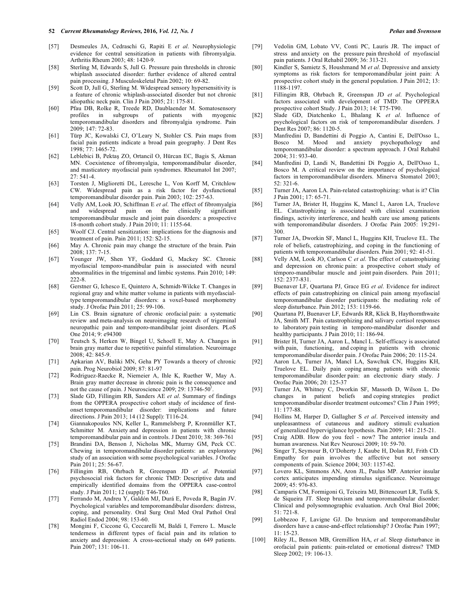- [57] Desmeules JA, Cedraschi G, Rapiti E *et al*. Neurophysiologic evidence for central sensitization in patients with fibromyalgia. Arthritis Rheum 2003; 48: 1420-9.
- [58] Sterling M, Edwards S, Jull G. Pressure pain thresholds in chronic whiplash associated disorder: further evidence of altered central pain processing. J Musculoskeletal Pain 2002; 10: 69-82.
- [59] Scott D, Jull G, Sterling M. Widespread sensory hypersensitivity is a feature of chronic whiplash-associated disorder but not chronic idiopathic neck pain. Clin J Pain 2005; 21: 175-81.
- [60] Pfau DB, Rolke R, Treede RD, Daublaender M. Somatosensory profiles in subgroups of patients with myogenic temporomandibular disorders and fibromyalgia syndrome. Pain 2009; 147: 72-83.
- [61] Türp JC, Kowalski CJ, O'Leary N, Stohler CS. Pain maps from facial pain patients indicate a broad pain geography. J Dent Res 1998; 77: 1465-72.
- [62] Leblebici B, Pektaş ZO, Ortancil O, Hürcan EC, Bagis S, Akman MN. Coexistence of fibromyalgia, temporomandibular disorder, and masticatory myofascial pain syndromes. Rheumatol Int 2007; 27: 541-4.
- [63] Torsten J, Miglioretti DL, Leresche L, Von Korff M, Critchlow CW. Widespread pain as a risk factor for dysfunctional temporomandibular disorder pain. Pain 2003; 102: 257-63.
- [64] Velly AM, Look JO, Schiffman E *et al*. The effect of fibromyalgia and widespread pain on the clinically significant temporomandibular muscle and joint pain disorders: a prospective 18-month cohort study. J Pain 2010; 11: 1155-64.
- [65] Woolf CJ. Central sensitization: implications for the diagnosis and treatment of pain. Pain 2011; 152: S2-15.
- [66] May A. Chronic pain may change the structure of the brain. Pain 2008; 137: 7-15.
- [67] Younger JW, Shen YF, Goddard G, Mackey SC. Chronic myofascial temporo-mandibular pain is associated with neural abnormalities in the trigeminal and limbic systems. Pain 2010; 149: 222-8.
- [68] Gerstner G, Ichesco E, Quintero A, Schmidt-Wilcke T. Changes in regional gray and white matter volume in patients with myofascialtype temporomandibular disorders: a voxel-based morphometry study. J Orofac Pain 2011; 25: 99-106.
- [69] Lin CS. Brain signature of chronic orofacial pain: a systematic review and meta-analysis on neuroimaging research of trigeminal neuropathic pain and temporo-mandibular joint disorders. PLoS One 2014; 9: e94300
- [70] Teutsch S, Herken W, Bingel U, Schoell E, May A. Changes in brain gray matter due to repetitive painful stimulation. Neuroimage 2008; 42: 845-9.
- [71] Apkarian AV, Baliki MN, Geha PY Towards a theory of chronic pain. Prog Neurobiol 2009; 87: 81-97
- [72] Rodriguez-Raecke R, Niemeier A, Ihle K, Ruether W, May A. Brain gray matter decrease in chronic pain is the consequence and not the cause of pain. J Neuroscience 2009; 29: 13746-50<sup>1</sup> .
- [73] Slade GD, Fillingim RB, Sanders AE *et al*. Summary of findings from the OPPERA prospective cohort study of incidence of firstonset temporomandibular disorder: implications and future directions. J Pain 2013; 14 (12 Suppl): T116-24.
- [74] Giannakopoulos NN, Keller L, Rammelsberg P, Kronmüller KT, Schmitter M. Anxiety and depression in patients with chronic temporomandibular pain and in controls. J Dent 2010; 38: 369-761
- [75] Brandini DA, Benson J, Nicholas MK, Murray GM, Peck CC. Chewing in temporomandibular disorder patients: an exploratory study of an association with some psychological variables. J Orofac Pain 2011; 25: 56-67.
- [76] Fillingim RB, Ohrbach R, Greenspan JD *et al*. Potential psychosocial risk factors for chronic TMD: Descriptive data and empirically identified domains from the OPPERA case-control study. J Pain 2011; 12 (suppl): T46-T60.
- [77] Ferrando M, Andreu Y, Galdón MJ, Durá E, Poveda R, Bagán JV. Psychological variables and temporomandibular disorders: distress, coping, and personality. Oral Surg Oral Med Oral Pathol Oral Radiol Endod 2004; 98: 153-60.
- [78] Mongini F, Ciccone G, Ceccarelli M, Baldi I, Ferrero L. Muscle tenderness in different types of facial pain and its relation to anxiety and depression: A cross-sectional study on 649 patients. Pain 2007; 131: 106-11.
- [79] Vedolin GM, Lobato VV, Conti PC, Lauris JR. The impact of stress and anxiety on the pressure pain threshold of myofascial pain patients. J Oral Rehabil 2009; 36: 313-21.
- [80] Kindler S, Samietz S, Houshmand M *et al*. Depressive and anxiety symptoms as risk factors for temporomandibular joint pain: A prospective cohort study in the general population. J Pain 2012; 13: 1188-1197.
- [81] Fillingim RB, Ohrbach R, Greenspan JD *et al*. Psychological factors associated with development of TMD: The OPPERA prospective cohort Study. J Pain 2013; 14: T75-T90.
- [82] Slade GD, Diatchenko L, Bhalang K *et al*. Influence of psychological factors on risk of temporomandibular disorders. J Dent Res 2007; 86: 1120-5.
- [83] Manfredini D, Bandettini di Poggio A, Cantini E, Dell'Osso L, Bosco M. Mood and anxiety psychopathology and temporomandibular disorder: a spectrum approach. J Oral Rehabil 2004; 31: 933-40.
- [84] Manfredini D, Landi N, Bandettini Di Poggio A, Dell'Osso L, Bosco M. A critical review on the importance of psychological factors in temporomandibular disorders. Minerva Stomatol 2003;  $52: 321-6.$
- [85] Turner JA, Aaron LA. Pain-related catastrophizing: what is it? Clin J Pain 2001; 17: 65-71.
- [86] Turner JA, Brister H, Huggins K, Mancl L, Aaron LA, Truelove EL. Catastrophizing is associated with clinical examination findings, activity interference, and health care use among patients with temporomandibular disorders. J Orofac Pain 2005: 19:291- 300.
- [87] Turner JA, Dworkin SF, Mancl L, Huggins KH, Truelove EL. The role of beliefs, catastrophizing, and coping in the functioning of patients with temporomandibular disorders. Pain 2001; 92: 41-51.
- [88] Velly AM, Look JO, Carlson C *et al*. The effect of catastrophizing and depression on chronic pain: a prospective cohort study of témporo-mandibular muscle and joint pain disorders. Pain 2011; 152: 2377-831.
- [89] Buenaver LF, Quartana PJ, Grace EG *et al*. Evidence for indirect effects of pain catastrophizing on clinical pain among myofascial temporomandibular disorder participants: the mediating role of sleep disturbance. Pain 2012; 153: 1159-66.
- [90] Quartana PJ, Buenaver LF, Edwards RR, Klick B, Haythornthwaite JA, Smith MT. Pain catastrophizing and salivary cortisol responses to laboratory pain testing in temporo-mandibular disorder and healthy participants. J Pain 2010; 11: 186-94.
- [91] Brister H, Turner JA, Aaron L, Mancl L. Self-efficacy is associated with pain, functioning, and coping in patients with chronic temporomandibular disorder pain. J Orofac Pain 2006; 20: 115-24.
- [92] Aaron LA, Turner JA, Mancl LA, Sawchuk CN, Huggins KH, Truelove EL. Daily pain coping among patients with chronic temporomandibular disorder pain: an electronic diary study. J Orofac Pain 2006; 20: 125-37
- [93] Turner JA, Whitney C, Dworkin SF, Massoth D, Wilson L. Do changes in patient beliefs and coping strategies predict temporomandibular disorder treatment outcomes? Clin J Pain 1995; 11: 177-88.
- [94] Hollins M, Harper D, Gallagher S *et al*. Perceived intensity and unpleasantness of cutaneous and auditory stimuli: evaluation of generalized hypervigilance hypothesis. Pain 2009; 141: 215-21.
- [95] Craig ADB. How do you feel now? The anterior insula and human awareness. Nat Rev Neurosci 2009; 10: 59-70.
- [96] Singer T, Seymour B, O'Doherty J, Kaube H, Dolan RJ, Frith CD. Empathy for pain involves the affective but not sensory components of pain. Science 2004; 303: 1157-62.
- [97] Lovero KL, Simmons AN, Aron JL, Paulus MP. Anterior insular cortex anticipates impending stimulus significance. Neuroimage  $2009.45.976 - 83$
- [98] Camparis CM, Formigoni G, Teixeira MJ, Bittencourt LR, Tufik S, de Siqueira JT. Sleep bruxism and temporomandibular disorder: Clinical and polysomnographic evaluation. Arch Oral Biol 2006; 51: 721-8.
- [99] Lobbezoo F, Lavigne GJ. Do bruxism and temporomandibular disorders have a cause-and-effect relationship? J Orofac Pain 1997; 11: 15-23.
- [100] Riley JL, Benson MB, Gremillion HA, *et al*. Sleep disturbance in orofacial pain patients: pain-related or emotional distress? TMD Sleep 2002; 19: 106-13.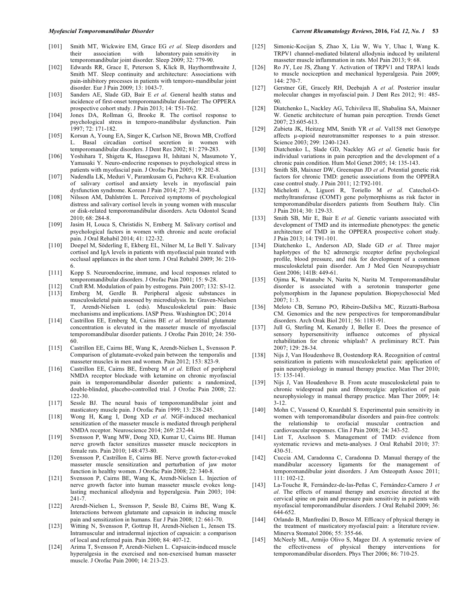- [101] Smith MT, Wickwire EM, Grace EG *et al*. Sleep disorders and their association with laboratory pain sensitivity in temporomandibular joint disorder. Sleep 2009; 32: 779-90.
- [102] Edwards RR, Grace E, Peterson S, Klick B, Haythornthwaite J, Smith MT. Sleep continuity and architecture: Associations with pain-inhibitory processes in patients with temporo-mandibular joint disorder. Eur J Pain 2009; 13: 1043-7.
- [103] Sanders AE, Slade GD, Bair E *et al*. General health status and incidence of first-onset temporomandibular disorder: The OPPERA prospective cohort study. J Pain 2013; 14: T51-T62.
- [104] Jones DA, Rollman G, Brooke R. The cortisol response to psychological stress in temporo-mandibular dysfunction. Pain 1997; 72: 171-182.
- [105] Korsun A, Young EA, Singer K, Carlson NE, Brown MB, Crofford L. Basal circadian cortisol secretion in women with temporomandibular disorders. J Dent Res 2002; 81: 279-283.
- [106] Yoshihara T, Shigeta K, Hasegawa H, Ishitani N, Masumoto Y, Yamasaki Y. Neuro-endocrine responses to psychological stress in patients with myofascial pain. J Orofac Pain 2005; 19: 202-8.
- [107] Nadendla LK, Meduri V, Paramkusam G, Pachava KR. Evaluation of salivary cortisol and anxiety levels in myofascial pain dysfunction syndrome. Korean J Pain 2014; 27: 30-4.
- [108] Nilsson AM, Dahlström L. Perceived symptoms of psychological distress and salivary cortisol levels in young women with muscular or disk-related temporomandibular disorders. Acta Odontol Scand 2010; 68: 284-8.
- [109] Jasim H, Louca S, Christidis N, Ernberg M. Salivary cortisol and psychological factors in women with chronic and acute orofacial pain. J Oral Rehabil 2014; 41: 122-32.
- [110] Doepel M, Söderling E, Ekberg EL, Nilner M, Le Bell Y. Salivary cortisol and IgA levels in patients with myofascial pain treated with occlusal appliances in the short term. J Oral Rehabil 2009; 36: 210- 6.
- [111] Kopp S. Neuroendocrine, immune, and local responses related to temporomandibular disorders. J Orofac Pain 2001; 15: 9-28.
- [112] Craft RM. Modulation of pain by estrogens. Pain 2007; 132: S3-12.
- [113] Ernberg M, Gerdle B. Peripheral algesic substances in musculoskeletal pain assessed by microdialysis. In: Graven-Nielsen T, Arendt-Nielsen L (eds). Musculoskeletal pain: Basic mechanisms and implications. IASP Press. Washington DC; 2014
- [114] Castrillon EE, Ernberg M, Cairns BE *et al*. Interstitial glutamate concentration is elevated in the masseter muscle of myofascial temporomandibular disorder patients. J Orofac Pain 2010; 24: 350- 60.
- [115] Castrillon EE, Cairns BE, Wang K, Arendt-Nielsen L, Svensson P. Comparison of glutamate-evoked pain between the temporalis and masseter muscles in men and women. Pain 2012; 153: 823-9.
- [116] Castrillon EE, Cairns BE, Ernberg M *et al*. Effect of peripheral NMDA receptor blockade with ketamine on chronic myofascial pain in temporomandibular disorder patients: a randomized, double-blinded, placebo-controlled trial. J Orofac Pain 2008; 22: 122-30.
- [117] Sessle BJ. The neural basis of temporomandibular joint and masticatory muscle pain. J Orofac Pain 1999; 13: 238-245.
- [118] Wong H, Kang I, Dong XD *et al*. NGF-induced mechanical sensitization of the masseter muscle is mediated through peripheral NMDA receptor. Neuroscience 2014; 269: 232-44.
- [119] Svensson P, Wang MW, Dong XD, Kumar U, Cairns BE. Human nerve growth factor sensitizes masseter muscle nociceptors in female rats. Pain 2010; 148:473-80.
- [120] Svensson P, Castrillon E, Cairns BE. Nerve growth factor-evoked masseter muscle sensitization and perturbation of jaw motor function in healthy women. J Orofac Pain 2008; 22: 340-8.
- [121] Svensson P, Cairns BE, Wang K, Arendt-Nielsen L. Injection of nerve growth factor into human masseter muscle evokes longlasting mechanical allodynia and hyperalgesia. Pain 2003; 104: 241-7.
- [122] Arendt-Nielsen L, Svensson P, Sessle BJ, Cairns BE, Wang K. Interactions between glutamate and capsaicin in inducing muscle pain and sensitization in humans. Eur J Pain 2008; 12: 661-70.
- [123] Witting N, Svensson P, Gottrup H, Arendt-Nielsen L, Jensen TS. Intramuscular and intradermal injection of capsaicin: a comparison of local and referred pain. Pain 2000; 84: 407-12.
- [124] Arima T, Svensson P, Arendt-Nielsen L. Capsaicin-induced muscle hyperalgesia in the exercised and non-exercised human masseter muscle. J Orofac Pain 2000; 14: 213-23.
- [125] Simonic-Kocijan S, Zhao X, Liu W, Wu Y, Uhac I, Wang K. TRPV1 channel-mediated bilateral allodynia induced by unilateral masseter muscle inflammation in rats. Mol Pain 2013; 9: 68.
- [126] Ro JY, Lee JS, Zhang Y. Activation of TRPV1 and TRPA1 leads to muscle nociception and mechanical hyperalgesia. Pain 2009; 144: 270-7.
- [127] Gerstner GE, Gracely RH, Deebajah A *et al*. Posterior insular molecular changes in myofascial pain. J Dent Res 2012; 91: 485- 90.
- [128] Diatchenko L, Nackley AG, Tchivileva IE, Shabalina SA, Maixner W. Genetic architecture of human pain perception. Trends Genet 2007; 23:605-613.
- [129] Zubieta JK, Heitzeg MM, Smith YR *et al*. Val158 met Genotype affects μ-opioid neurotransmitter responses to a pain stressor. Science 2003; 299: 1240-1243.
- [130] Diatchenko L, Slade GD, Nackley AG *et al*. Genetic basis for individual variations in pain perception and the development of a chronic pain condition. Hum Mol Genet 2005; 14: 135-143.
- [131] Smith SB, Maixner DW, Greenspan JD *et al*. Potential genetic risk factors for chronic TMD: genetic associations from the OPPERA case control study. J Pain 2011; 12:T92-101.
- [132] Michelotti A, Liguori R, Toriello M *et al*. Catechol-Omethyltransferase (COMT) gene polymorphisms as risk factor in temporomandibular disorders patients from Southern Italy. Clin J Pain 2014; 30: 129-33.
- [133] Smith SB, Mir E, Bair E *et al*. Genetic variants associated with development of TMD and its intermediate phenotypes: the genetic architecture of TMD in the OPPERA prospective cohort study. J Pain 2013; 14: T91-101.
- [134] Diatchenko L, Anderson AD, Slade GD *et al*. Three major haplotypes of the b2 adrenergic receptor define psychological profile, blood pressure, and risk for development of a common musculoskeletal pain disorder. Am J Med Gen Neuropsychiatr Gent 2006; 141B: 449-61.
- [135] Ojima K, Watanabe N, Narita N, Narita M. Temporomandibular disorder is associated with a serotonin transporter gene polymorphism in the Japanese population. Biopsychosocial Med  $2007:1:3$
- [136] Meloto CB, Serrano PO, Ribeiro-DaSilva MC, Rizzatti-Barbosa CM. Genomics and the new perspectives for temporomandibular disorders. Arch Orak Biol 2011; 56: 1181-91.
- [137] Jull G, Sterling M, Kenardy J, Beller E. Does the presence of sensory hypersensitivity influence outcomes of physical rehabilitation for chronic whiplash? A preliminary RCT. Pain 2007; 129: 28-34.
- [138] Nijs J, Van Houdenhove B, Oostendorp RA. Recognition of central sensitization in patients with musculoskeletal pain: application of pain neurophysiology in manual therapy practice. Man Ther 2010; 15: 135-141.
- [139] Nijs J, Van Houdenhove B. From acute musculoskeletal pain to chronic widespread pain and fibromyalgia: application of pain neurophysiology in manual therapy practice. Man Ther 2009; 14: 3-12.
- [140] Mohn C, Vassend O, Knardahl S. Experimental pain sensitivity in women with temporomandibular disorders and pain-free controls: the relationship to orofacial muscular contraction and cardiovascular responses. Clin J Pain 2008; 24: 343-52.
- [141] List T, Axelsson S. Management of TMD: evidence from systematic reviews and meta-analyses. J Oral Rehabil 2010; 37: 430-51.
- [142] Cuccia AM, Caradonna C, Caradonna D. Manual therapy of the mandibular accessory ligaments for the management of temporomandibular joint disorders. J Am Osteopath Assoc 2011; 111: 102-12.
- [143] La-Touche R, Fernández-de-las-Peñas C, Fernández-Carnero J *et al*. The effects of manual therapy and exercise directed at the cervical spine on pain and pressure pain sensitivity in patients with myofascial temporomandibular disorders. J Oral Rehabil 2009; 36: 644-652.
- [144] Orlando B, Manfredini D, Bosco M. Efficacy of physical therapy in the treatment of masticatory myofascial pain: a literature review. Minerva Stomatol 2006; 55: 355-66.
- [145] McNeely ML, Armijo Olivo S, Magee DJ. A systematic review of the effectiveness of physical therapy interventions for temporomandibular disorders. Phys Ther 2006; 86: 710-25.